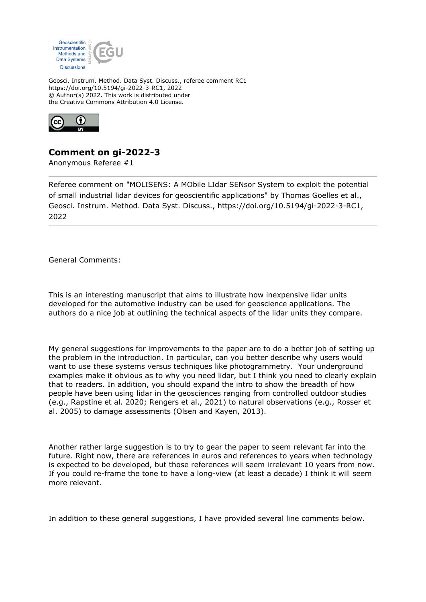

Geosci. Instrum. Method. Data Syst. Discuss., referee comment RC1 https://doi.org/10.5194/gi-2022-3-RC1, 2022 © Author(s) 2022. This work is distributed under the Creative Commons Attribution 4.0 License.



## **Comment on gi-2022-3**

Anonymous Referee #1

Referee comment on "MOLISENS: A MObile LIdar SENsor System to exploit the potential of small industrial lidar devices for geoscientific applications" by Thomas Goelles et al., Geosci. Instrum. Method. Data Syst. Discuss., https://doi.org/10.5194/gi-2022-3-RC1, 2022

General Comments:

This is an interesting manuscript that aims to illustrate how inexpensive lidar units developed for the automotive industry can be used for geoscience applications. The authors do a nice job at outlining the technical aspects of the lidar units they compare.

My general suggestions for improvements to the paper are to do a better job of setting up the problem in the introduction. In particular, can you better describe why users would want to use these systems versus techniques like photogrammetry. Your underground examples make it obvious as to why you need lidar, but I think you need to clearly explain that to readers. In addition, you should expand the intro to show the breadth of how people have been using lidar in the geosciences ranging from controlled outdoor studies (e.g., Rapstine et al. 2020; Rengers et al., 2021) to natural observations (e.g., Rosser et al. 2005) to damage assessments (Olsen and Kayen, 2013).

Another rather large suggestion is to try to gear the paper to seem relevant far into the future. Right now, there are references in euros and references to years when technology is expected to be developed, but those references will seem irrelevant 10 years from now. If you could re-frame the tone to have a long-view (at least a decade) I think it will seem more relevant.

In addition to these general suggestions, I have provided several line comments below.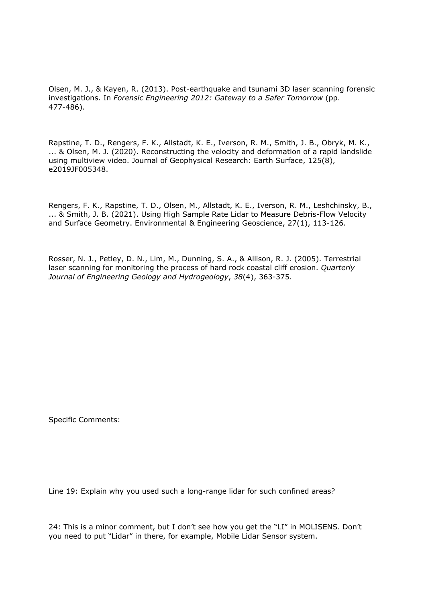Olsen, M. J., & Kayen, R. (2013). Post-earthquake and tsunami 3D laser scanning forensic investigations. In *Forensic Engineering 2012: Gateway to a Safer Tomorrow* (pp. 477-486).

Rapstine, T. D., Rengers, F. K., Allstadt, K. E., Iverson, R. M., Smith, J. B., Obryk, M. K., ... & Olsen, M. J. (2020). Reconstructing the velocity and deformation of a rapid landslide using multiview video. Journal of Geophysical Research: Earth Surface, 125(8), e2019JF005348.

Rengers, F. K., Rapstine, T. D., Olsen, M., Allstadt, K. E., Iverson, R. M., Leshchinsky, B., ... & Smith, J. B. (2021). Using High Sample Rate Lidar to Measure Debris-Flow Velocity and Surface Geometry. Environmental & Engineering Geoscience, 27(1), 113-126.

Rosser, N. J., Petley, D. N., Lim, M., Dunning, S. A., & Allison, R. J. (2005). Terrestrial laser scanning for monitoring the process of hard rock coastal cliff erosion. *Quarterly Journal of Engineering Geology and Hydrogeology*, *38*(4), 363-375.

Specific Comments:

Line 19: Explain why you used such a long-range lidar for such confined areas?

24: This is a minor comment, but I don't see how you get the "LI" in MOLISENS. Don't you need to put "Lidar" in there, for example, Mobile Lidar Sensor system.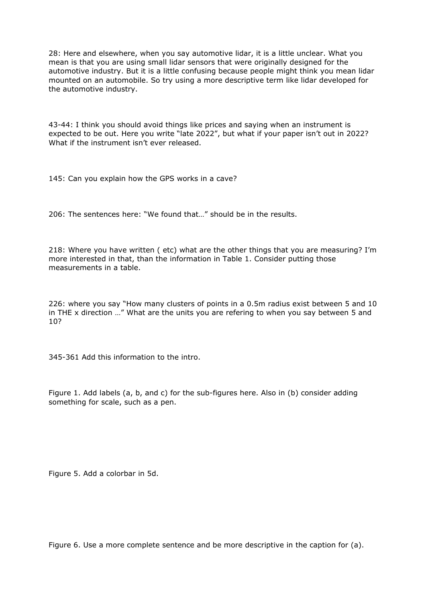28: Here and elsewhere, when you say automotive lidar, it is a little unclear. What you mean is that you are using small lidar sensors that were originally designed for the automotive industry. But it is a little confusing because people might think you mean lidar mounted on an automobile. So try using a more descriptive term like lidar developed for the automotive industry.

43-44: I think you should avoid things like prices and saying when an instrument is expected to be out. Here you write "late 2022", but what if your paper isn't out in 2022? What if the instrument isn't ever released.

145: Can you explain how the GPS works in a cave?

206: The sentences here: "We found that…" should be in the results.

218: Where you have written ( etc) what are the other things that you are measuring? I'm more interested in that, than the information in Table 1. Consider putting those measurements in a table.

226: where you say "How many clusters of points in a 0.5m radius exist between 5 and 10 in THE x direction …" What are the units you are refering to when you say between 5 and 10?

345-361 Add this information to the intro.

Figure 1. Add labels (a, b, and c) for the sub-figures here. Also in (b) consider adding something for scale, such as a pen.

Figure 5. Add a colorbar in 5d.

Figure 6. Use a more complete sentence and be more descriptive in the caption for (a).